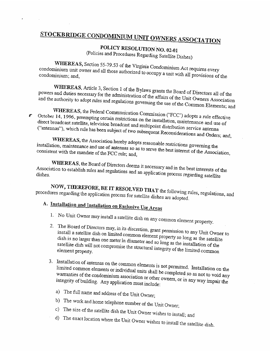# STOCKBRIDGE CONDOMINIUM UNIT OWNERS ASSOCIATION

POLICY RESOLUTION NO. 02-01<br>(Policies and Procedures Regarding Satellite Dishes)

condominium unit owner and WHEREAs, Section **FIRKEAS,** Section 55-79.53 of the Virginia Condominium Act requires every condominium unit owner and all those authorized to occupy a unit with all provisions of the condominium; and,

WHEREAS, Article 3, Section 1 of the Bylaws grants the Board of Directors all of the<br>powers and duties necessary for the administration of the affairs of the Unit Owners Association<br>and the authority to adopt rules and reg

 $\blacksquare$  October 14, 1996, preempting certain restrictions on the installation, maintenance and use of  $\blacksquare$ ("antennas"), which rule has television been subject broadcast and multipoint distribution service antenna<br>abject of two subsequent Reconsiderations and Orders; and, The and the authority to adopt rules and regulations governing the use of the Common Elements; and<br>WHEREAS, the Federal Communication Commission ("FCC") adopts a rule effective<br>October 14, 1996, preempting certain restrict

installation maintenance and use of WHEREAS, the Association hereby adopts reasonable restrictions governing the installation, maintenance and use of antennas so as to serve the best interest of the Association consistent with the mandate of the FCC rule; and,

WHEREAS, the Board of Directors deems it necessary and in the best interests of the Association to establish rules and regulations and an application process regarding satellite

NOW, THEREFORE, BE IT RESOLVED THAT the following rules, regulations, and procedures regarding the application process for satellite dishes are adopted.

## A. Installation and Installation on Exclusive Use Areas

- 1. No Unit Owner may install a satellite dish on any common element property.
- 2. The Board of Directors may, in its discretion, grant permission to any Unit Owner to install a satellite dish on limited common element proportional common elements. dish is no larger than one on limited dish is no larger than one meter in diameter and so long as the installation of the satellite dish will not compromise the structural integrity of the limited common NOW, THEREFORE, BE IT RESOLVED THAT the following rules, regulations, and<br>procedures regarding the application process for satellite dishes are adopted.<br>A. Installation and Installation on Exclusive Use Areas<br>1. No Unit Ow
	- 3. Installation of antennas on the common elements is not permitted. Installation on the warranties of the condominium association warranties of the condominium association or other owners, or in any way impair the integrity of building. Any application must include: 3. Installation of antennas on the common elements is not permitted. Installation on the<br>limited common elements or individual units shall be completed so as not to void any<br>warranties of the condominium association or ot
		-
		- a) The full name and address of the Unit Owner;<br>b) The work and home telephone number of the Unit Owner;
		-
		- c) The size of the satellite dish the Unit Owner wishes to install; and d) The exact location where the Unit Owner wishes to install the satellite dish.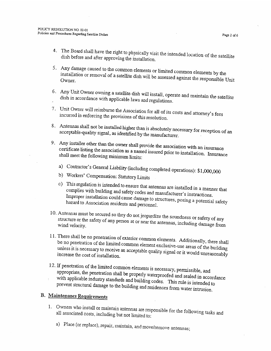Page 2 of 6

- 4. The Board shall have the right to physically visit the intended dish before and after approving the installation.
- 5. Any damage caused to the common elements or limited common elements by the installation 4. The Board shall have the right to physically visit the intended location of the satellite<br>dish before and after approving the installation.<br>5. Any damage caused to the common elements or limited common elements by the<br>i
- 6. Any Unit Owner owning a satellite dish will install, operate and maintain the satellite dish in accordance with applicable laws and regulations. dish in accordance with
- 7. Unit Owner will reimburse the Association for all of its costs and attorney's fees the provisions of this resolution. incurred in enforcing
- 8. Antennas shall not be installed higher than is absolutely necessary for reception of an acceptable-quality signal, as identified by the manufacturer. acceptable-quality signal,
- 9. Any installer certificate listing Any installer other than the owner shall provide the association with an insurance<br>certificate listing the association as a named insured prior to installation. Insurance<br>shall meet the following minimum limits:
	- a) Contractor's General Liability (including completed operations): \$1,000,000<br>b) Workers' Compensation: Statutory Limits
	-
- c) This regulation complies with I has regulation is intended to ensure that antennas are installed in a manner that<br>complies with building and safety codes and manufacturer's instructions.<br>Improper installation could cause damage to structures, nosis hazard to Association residents and personnel. Improper installation could cause damage to structures, posing a potential safety 6. Any Unit Owner owning a satellite dish will install, operate and maintain the satellite<br>dish in accordance with applicable laws and regulations.<br>7. Unit Owner will reimburse the Association for all of its costs and att
- 10. Antennas must be secured so they do not jeopardize the soundness or safety of any structure or the safety of any person at or parally structure or structure or the safety of any person at or near the antennas, including damage from<br>wind velocity.
- be no penetration of the limited common element exclusive-use areas of the building increase the cost of unless it is necessary to receive an acceptable quality signal or it would unreasonably
- 12. If penetration of the limited common elements is necessary, permissible, and with applicable industry appropriate, the penetration shall be properly waterproofed and sealed in accordance<br>with applicable industry standards and building and with  $\pi$ . prevent structural standards and building codes. This rule is intended to damage to the building and residences from water intrusion 11. There shall be no penetration of exterior common elements. Additionally, there shall<br>be no penetration of the limited common element exclusive-use areas of the building<br>unless it is necessary to receive an acceptable q

- 1. Owners who install or maintain antennas are responsible for the following tasks and<br>all associated costs, including but not limited to:<br>a) Place (or replace), repair, maintain, and move/remove antennas; all associated costs,
	- a) Place (or replace), repair, maintain, and move/remove antennas;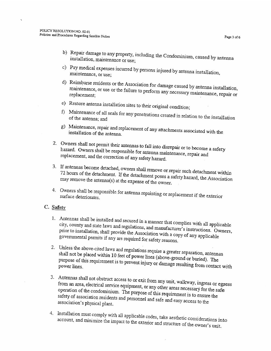- b) Repair damage to any property, installation, maintenance or use; perty, including the Condominium, caused by antenna<br>or use;
- c) Pay medical expenses incurred by persons injured by antenna installation, maintenance, or use; maintenance, or use;
- d) Reimburse residents or the Association for damage caused by antenna installation maintenance, or use maintenance, or use or the failure to perform any necessary maintenance, repair or<br>replacement; b) Repair damage to any property, including the Condominium, caused by antenna<br>installation, maintenance or use;<br>c) Pay medical expenses incurred by persons injured by antenna installation,<br>maintenance, or use;<br>d) Reimburs
	- e) Restore antenna installation sites to their original condition;
	- f) Maintenance of all seals for any penetrations created in relation to the installation<br>of the antenna; and of the antenna; and
	- g) Maintenance, repair and replacement of any attachments associated with the installation of the antenna. installation of the antenna.
- 2. Owners shall hazard. Owners Owners shall not permit their antennas to fall into disrepair or to become a safety<br>hazard. Owners shall be responsible for antenna maintenance, repair and<br>replacement, and the correction of any safety hazard.
- 3. if 72 antennas become detached, owners shall remove or repair such detachment within<br>bours of the detachment. If the detachment passes with a hours of the detachment. If the detachment poses a safety hazard, the Association<br>y remove the antenna(s) at the expense of the owner. may remove the antenna(s) at the expense of the owner.
- 4. Owners shall be responsible for antenna repainting or replacement if the exterior surface deteriorates.

### C. Safety

- 1. Antennas city, county shall be installed and secured in <sup>a</sup> manner that complies with all applicable and state laws eny, county and state laws and regulations, and manufacturer's instructions. Owners,<br>prior to installation, shall provide the Association with government installation, shall provide the Association with a copy of any applicable nental permits if any are required for safety reasons. 3. If antennas become detached, owners shall remove or repair such detachment within<br>72 hours of the detachment. If the detachment poses a safety hazard, the Association<br>may remove the antenna(s) at the expense of the own
	- 2. Unless the above-cited laws and regulations require a greater separation, antennas purpose of this requirement shall not be placed within 10 feet of power lines (above-ground or buried). The purpose of this requirement is to prevent injury or damage resulting from contact with<br>power lines.
	- 3. from Antennas an area, shall electrical Afficultures and the obstruct access to or exit from any unit, walkway, ingress or egress<br>from an area, electrical service equipment, or any other areas necessary for the safe<br>operation of the condominium. The nurmose of t safety of association residents and personnel and safe and easy access to the association's physical plant. operation of the condominium. The purpose of this requirement is to ensure the association's physical Shall not be placed within 10 feet of power lines (above-ground or buried). The<br>purpose of this requirement is to prevent injury or damage resulting from contact with<br>power lines.<br>3. Antennas shall not obstruct access to o
	- 4. Installation account, and must comply with minimize the impact all applicable codes, take aesthetic considerations into<br>act to the exterior and structure of the owner's unit.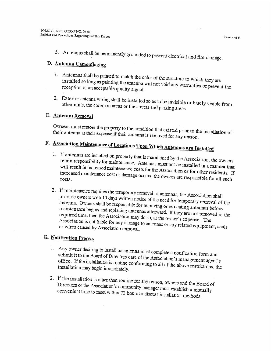5. Antennas shall be permanently grounded to prevent electrical and fire damage.

### D. Antenna Camouflaging

- <sup>1</sup>. Antennas shall be painted to match the color of the structure to which they are installed so long as painting the apterna  $m$ <sup>11</sup> installed so long as painting the antenna will not void any warranties or prevent the reception of an acceptable quality signal. reception of an acceptable quality signal.
- 2. Exterior antenna wiring shall be installed so as to be invisible or barely visible from the streets and parking areas. other units, the Common areas or

### E. Antenna Removal

their Owners must restore the property to the condition that existed prior to the installation of<br>their antenna at their expense if their antenna is removed for any reason. antenna at their expense

# F. Association Maintenance of Locations Upon Which Antennas are Installed

- 1. If antennas are installed on property that is maintained by the Association, the owners<br>retain responsibility for maintenance. Antennes must asked the Association, the owners retain responsibility for maintenance. Antennas must not be installed in a manner that<br>will result in increased maintenance costs for the Association. increased maintenance will result in increased maintenance costs for the Association or for other residents. If Increased maintenance cost or damage occurs, the owners are responsible for all such<br>costs. 3. Antennas shall be permanently grounded to prevent electrical and fire damage.<br> **D.** Antennas shall be painted to match the color of the structure to which they are<br>
installed so long as painting the antenna will not voi
- 2. If maintenance requires the temporary removal of antennas, the Association shall<br>provide owners with 10 days written poties of the state of the second in the Association shall provide owners with 10 days written notice of the need for temporary removal of the<br>antenna. Owners shall be responsible for removise antenna. Owners shall be maintenance begins and example. Owners shall be responsible for removing or relocating antennas before maintenance begins and replacing antennas afterward. If they are not removed in the required time, then the Association may do so, at the curr Association is not liable for any damage to antennas or any related equipment, seals<br>or wires caused by Association removal. required time, then the Association may do so, at the owner's expense. The or wires caused by Association Finally contained the exploration of the Association is not the association is not the installation is not inher a series and replacing antennas afterward. If they are not removed in the required time, then the Association

### G. Notification Process

- 1. Any owner desiring to install an antenna must complete <sup>a</sup> notification form and submit it to the Board of Directors care of the Association's management agent's<br>office. If the installation is routing conforming to the Association's management agent's office. If the installation is routine conforming to all of the above restrictions, the installation may begin immediately.<br>2. If the installation is other than routing for . installation may begin
- 2. If the installation is other than routine for any reason, owners and the Board of<br>Directors or the Association's community managemunt is a line Directors or convenient Directors or the Association's community manager must establish a mutually<br>convenient time to meet within 72 hours to discuss installation methods.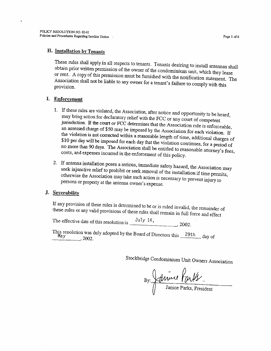### H. Installation by Tenants

These rules shall apply in all respects to tenants. Tenants desiring to install antennas shall obtain rules shall apply in all respects to tenants. Tenants desiring to install antennas shall prior written permission of the owner of the condominium unit, which they lease Association or rent. A copy of this permission must be furnished with the notification statement. The Association shall not be liable to any owner for a tenant's failure to comply with this provision.

#### I. Enforcement

- 1. If these rules are violated, the Association, after notice and opportunity to be heard, may bring action for declaratory relief with the FCC or any court of competent jurisdiction. If the court or FCC determines that the Association rule is enforceable, an assessed charge of \$50 may be imposed by the Association for each violation. If \$10 per day will be imposed for each day that the violation continues, for a period of<br>no more than 90 days. The Association shall be smill 1. the violation is not corrected within a reasonable length of time, additional charges of no more than 90 days. The Association shall be entitled to reasonable attorney's fees, costs, and expenses incurred in the enforcement of this policy. costs, and expenses incurred in the enforcement of this policy. **H. Installation by Tenants**<br>
These rules shall apply in all respects to tenants. Tenants desiring to install antennas shall<br>
obtain prior written permission of the owner of the condominium unit, which they lease<br>
or rent
- 2. If antenna installation poses <sup>a</sup> serious, seek injunctive relief to prohibit or seek removal of the install of the Association may otherwise the Association may take such action is necessary to prevent injury to persons or property at the antenna owner's expense. seek injunctive relief to prohibit or seek removal of the installation if time permits, persons or property at the antenna owner's expense. seek injunctive relief to poses a serious, immediate safety hazard, the Association may<br>seek injunctive relief to probibit or seek removal of the installation if time permits,<br>obterwise the Association may take such action

### J. Severability

If these any provision of these rules is determined to be or is ruled invalid, the remainder of<br>ese rules or any valid provisions of these rules shall remain in full force and effect

The effective date of this resolution is  $\frac{July \ 14}{2002}$ , 2002.

This resolution was duly adopted by the Board of Directors this 29th day of May  $\frac{1}{2}$  day of

Stockbridge Condominium Unit Owners Association

(J Janice Parks, President (JJaniceParks,President